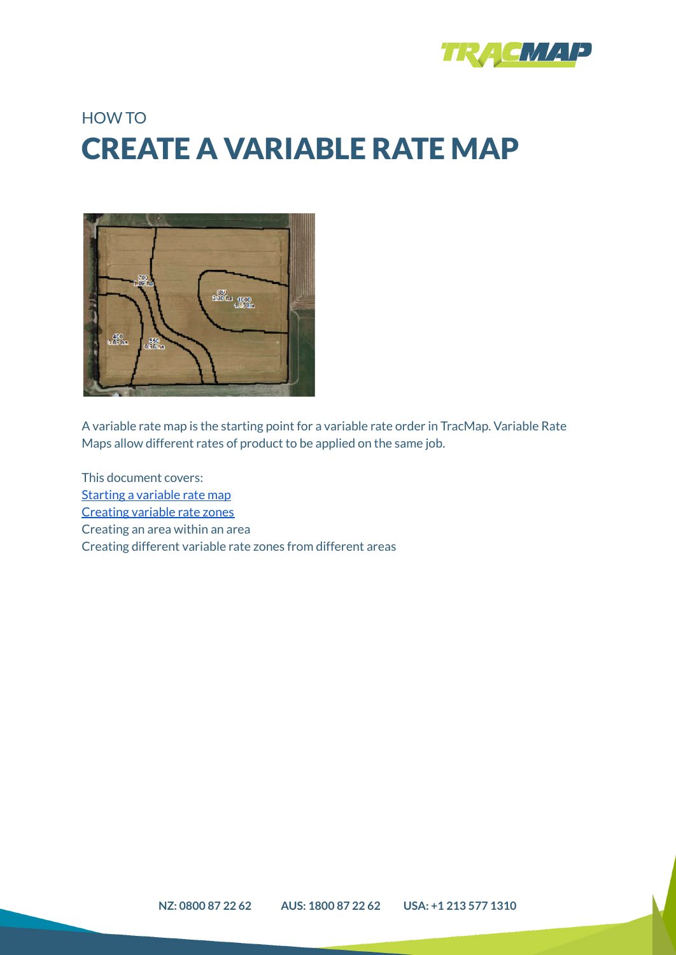

## HOW TO CREATE A VARIABLE RATE MAP



A variable rate map is the starting point for a variable rate order in TracMap. Variable Rate Maps allow different rates of product to be applied on the same job.

This document covers: Starting a [variable](#page-1-0) rate map [Creating](#page-2-0) variable rate zones Creating an area within an area Creating different variable rate zones from different areas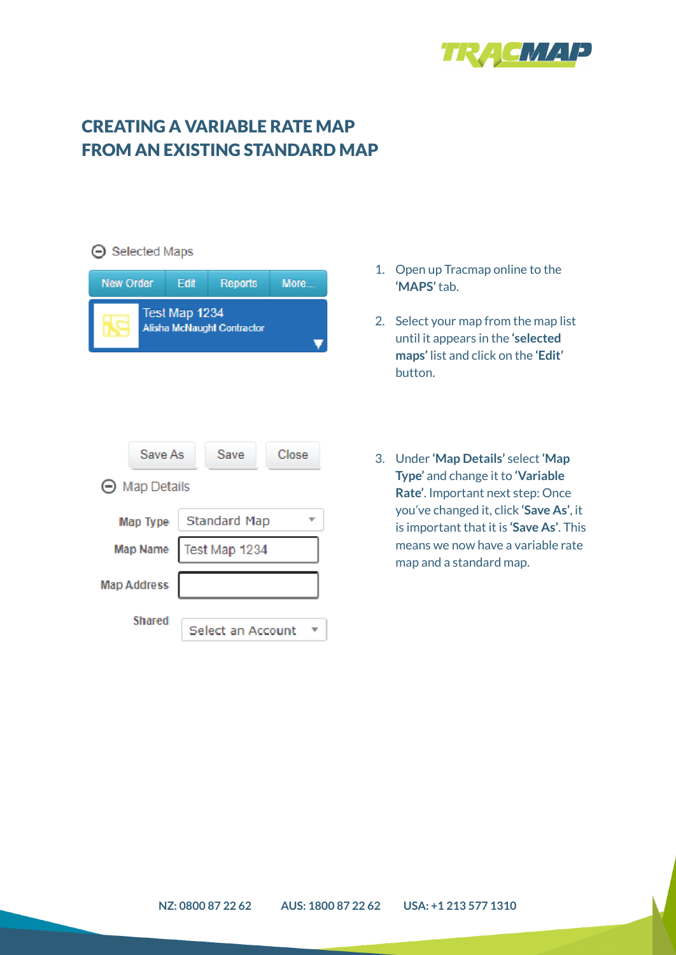

## <span id="page-1-0"></span>CREATING A VARIABLE RATE MAP FROM AN EXISTING STANDARD MAP

| <b>⊝</b> Selected Maps                      |      |                     |       |  |
|---------------------------------------------|------|---------------------|-------|--|
| New Order                                   | Edit | Reports             | More  |  |
| Test Map 1234<br>Alisha McNaught Contractor |      |                     |       |  |
|                                             |      |                     |       |  |
|                                             |      |                     |       |  |
| Save As                                     |      | Save                | Close |  |
| $\Theta$ Map Details                        |      |                     |       |  |
| Map Type                                    |      | <b>Standard Map</b> |       |  |
| Map Name                                    |      | Test Map 1234       |       |  |
| <b>Map Address</b>                          |      |                     |       |  |
| <b>Shared</b>                               |      | Select an Account   |       |  |

- 1. Open up Tracmap online to the **'MAPS'** tab.
- 2. Select your map from the map list until it appears in the **'selected maps'** list and click on the **'Edit'** button.
- 3. Under **'Map Details'** select **'Map Type'** and change it to **'Variable Rate'**. Important next step: Once you've changed it, click **'Save As'**, it is important that it is **'Save As'**. This means we now have a variable rate map and a standard map.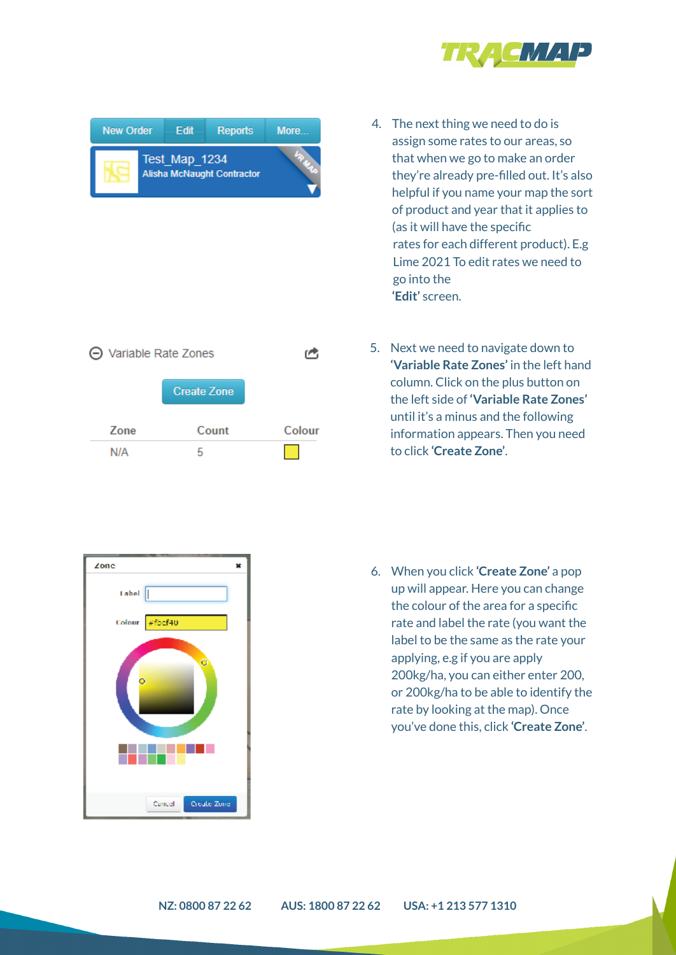

- 4. The next thing we need to do is assign some rates to our areas, so that when we go to make an order they're already pre-filled out. It's also helpful if you name your map the sort of product and year that it applies to (as it will have the specific rates for each different product). E.g Lime 2021 To edit rates we need to go into the **'Edit'** screen.
- 5. Next we need to navigate down to **'Variable Rate Zones'** in the left hand column. Click on the plus button on the left side of **'Variable Rate Zones'** until it's a minus and the following information appears. Then you need to click **'Create Zone'**.

6. When you click **'Create Zone'** a pop up will appear. Here you can change the colour of the area for a specific rate and label the rate (you want the label to be the same as the rate your applying, e.g if you are apply 200kg/ha, you can either enter 200, or 200kg/ha to be able to identify the rate by looking at the map). Once you've done this, click **'Create Zone'**.

<span id="page-2-0"></span>